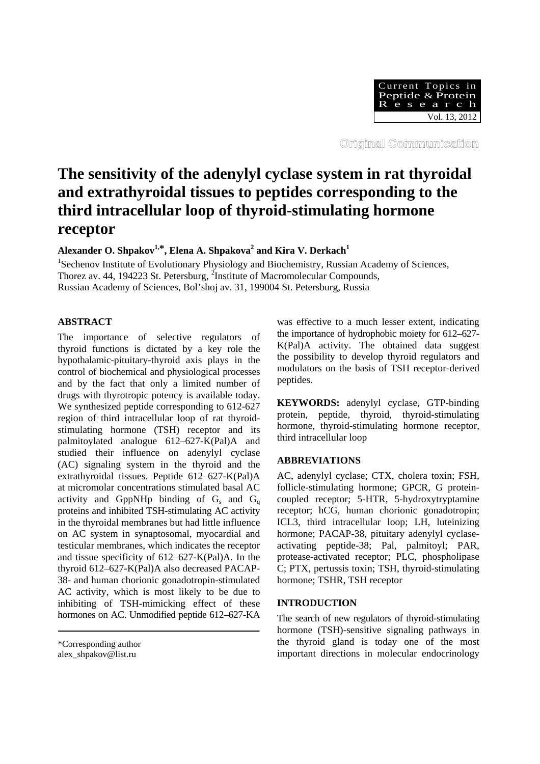

Original Communication

# **The sensitivity of the adenylyl cyclase system in rat thyroidal and extrathyroidal tissues to peptides corresponding to the third intracellular loop of thyroid-stimulating hormone receptor**

 $\Lambda$ lexander O. Shpakov $^{1,*}$ , Elena A. Shpakova $^2$  and Kira V. Derkach $^1$ 

<sup>1</sup>Sechenov Institute of Evolutionary Physiology and Biochemistry, Russian Academy of Sciences, Thorez av. 44, 194223 St. Petersburg, <sup>2</sup>Institute of Macromolecular Compounds, Russian Academy of Sciences, Bol'shoj av. 31, 199004 St. Petersburg, Russia

# **ABSTRACT**

The importance of selective regulators of thyroid functions is dictated by a key role the hypothalamic-pituitary-thyroid axis plays in the control of biochemical and physiological processes and by the fact that only a limited number of drugs with thyrotropic potency is available today. We synthesized peptide corresponding to 612-627 region of third intracellular loop of rat thyroidstimulating hormone (TSH) receptor and its palmitoylated analogue 612–627-K(Pal)A and studied their influence on adenylyl cyclase (AC) signaling system in the thyroid and the extrathyroidal tissues. Peptide 612–627-K(Pal)A at micromolar concentrations stimulated basal AC activity and GppNHp binding of  $G_s$  and  $G_q$ proteins and inhibited TSH-stimulating AC activity in the thyroidal membranes but had little influence on AC system in synaptosomal, myocardial and testicular membranes, which indicates the receptor and tissue specificity of 612–627-K(Pal)A. In the thyroid 612–627-K(Pal)A also decreased PACAP-38- and human chorionic gonadotropin-stimulated AC activity, which is most likely to be due to inhibiting of TSH-mimicking effect of these hormones on AC. Unmodified peptide 612–627-KA

alex\_shpakov@list.ru

was effective to a much lesser extent, indicating the importance of hydrophobic moiety for 612–627- K(Pal)A activity. The obtained data suggest the possibility to develop thyroid regulators and modulators on the basis of TSH receptor-derived peptides.

**KEYWORDS:** adenylyl cyclase, GTP-binding protein, peptide, thyroid, thyroid-stimulating hormone, thyroid-stimulating hormone receptor, third intracellular loop

## **ABBREVIATIONS**

AC, adenylyl cyclase; CTX, cholera toxin; FSH, follicle-stimulating hormone; GPCR, G proteincoupled receptor; 5-HTR, 5-hydroxytryptamine receptor; hCG, human chorionic gonadotropin; ICL3, third intracellular loop; LH, luteinizing hormone; PACAP-38, pituitary adenylyl cyclaseactivating peptide-38; Pal, palmitoyl; PAR, protease-activated receptor; PLC, phospholipase C; PTX, pertussis toxin; TSH, thyroid-stimulating hormone; TSHR, TSH receptor

## **INTRODUCTION**

The search of new regulators of thyroid-stimulating hormone (TSH)-sensitive signaling pathways in the thyroid gland is today one of the most important directions in molecular endocrinology

<sup>\*</sup>Corresponding author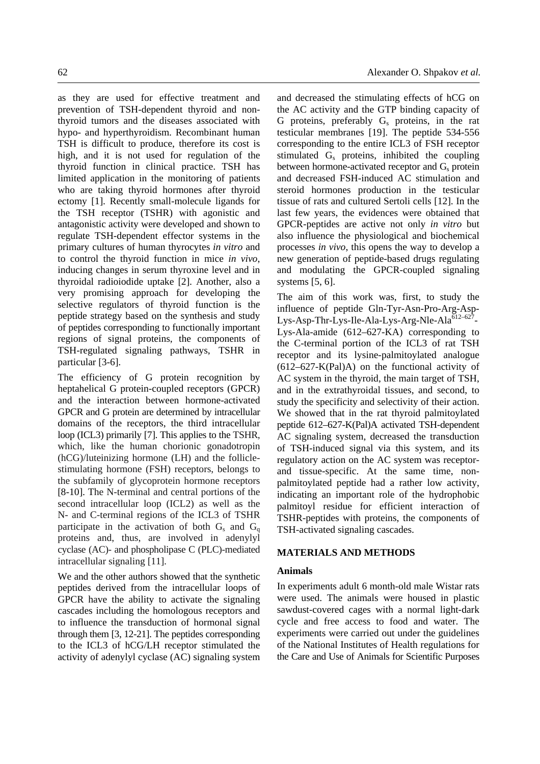as they are used for effective treatment and prevention of TSH-dependent thyroid and nonthyroid tumors and the diseases associated with

hypo- and hyperthyroidism. Recombinant human TSH is difficult to produce, therefore its cost is high, and it is not used for regulation of the thyroid function in clinical practice. TSH has limited application in the monitoring of patients who are taking thyroid hormones after thyroid ectomy [1]. Recently small-molecule ligands for the TSH receptor (TSHR) with agonistic and antagonistic activity were developed and shown to regulate TSH-dependent effector systems in the primary cultures of human thyrocytes *in vitro* and to control the thyroid function in mice *in vivo*, inducing changes in serum thyroxine level and in thyroidal radioiodide uptake [2]. Another, also a very promising approach for developing the selective regulators of thyroid function is the peptide strategy based on the synthesis and study of peptides corresponding to functionally important regions of signal proteins, the components of TSH-regulated signaling pathways, TSHR in particular [3-6].

The efficiency of G protein recognition by heptahelical G protein-coupled receptors (GPCR) and the interaction between hormone-activated GPCR and G protein are determined by intracellular domains of the receptors, the third intracellular loop (ICL3) primarily [7]. This applies to the TSHR, which, like the human chorionic gonadotropin (hCG)/luteinizing hormone (LH) and the folliclestimulating hormone (FSH) receptors, belongs to the subfamily of glycoprotein hormone receptors [8-10]. The N-terminal and central portions of the second intracellular loop (ICL2) as well as the N- and C-terminal regions of the ICL3 of TSHR participate in the activation of both  $G_s$  and  $G_q$ proteins and, thus, are involved in adenylyl cyclase (AC)- and phospholipase C (PLC)-mediated intracellular signaling [11].

We and the other authors showed that the synthetic peptides derived from the intracellular loops of GPCR have the ability to activate the signaling cascades including the homologous receptors and to influence the transduction of hormonal signal through them [3, 12-21]. The peptides corresponding to the ICL3 of hCG/LH receptor stimulated the activity of adenylyl cyclase (AC) signaling system and decreased the stimulating effects of hCG on the AC activity and the GTP binding capacity of G proteins, preferably  $G_s$  proteins, in the rat testicular membranes [19]. The peptide 534-556 corresponding to the entire ICL3 of FSH receptor stimulated  $G_s$  proteins, inhibited the coupling between hormone-activated receptor and  $G_s$  protein and decreased FSH-induced AC stimulation and steroid hormones production in the testicular tissue of rats and cultured Sertoli cells [12]. In the last few years, the evidences were obtained that GPCR-peptides are active not only *in vitro* but also influence the physiological and biochemical processes *in vivo*, this opens the way to develop a new generation of peptide-based drugs regulating and modulating the GPCR-coupled signaling systems [5, 6].

The aim of this work was, first, to study the influence of peptide Gln-Tyr-Asn-Pro-Arg-Asp-Lys-Asp-Thr-Lys-Ile-Ala-Lys-Arg-Nle-Ala<sup>612-627</sup>-Lys-Ala-amide (612–627-KA) corresponding to the C-terminal portion of the ICL3 of rat TSH receptor and its lysine-palmitoylated analogue  $(612-627-K(Pa)A)$  on the functional activity of AC system in the thyroid, the main target of TSH, and in the extrathyroidal tissues, and second, to study the specificity and selectivity of their action. We showed that in the rat thyroid palmitoylated peptide 612–627-K(Pal)A activated TSH-dependent AC signaling system, decreased the transduction of TSH-induced signal via this system, and its regulatory action on the AC system was receptorand tissue-specific. At the same time, nonpalmitoylated peptide had a rather low activity, indicating an important role of the hydrophobic palmitoyl residue for efficient interaction of TSHR-peptides with proteins, the components of TSH-activated signaling cascades.

## **MATERIALS AND METHODS**

## **Animals**

In experiments adult 6 month-old male Wistar rats were used. The animals were housed in plastic sawdust-covered cages with a normal light-dark cycle and free access to food and water. The experiments were carried out under the guidelines of the National Institutes of Health regulations for the Care and Use of Animals for Scientific Purposes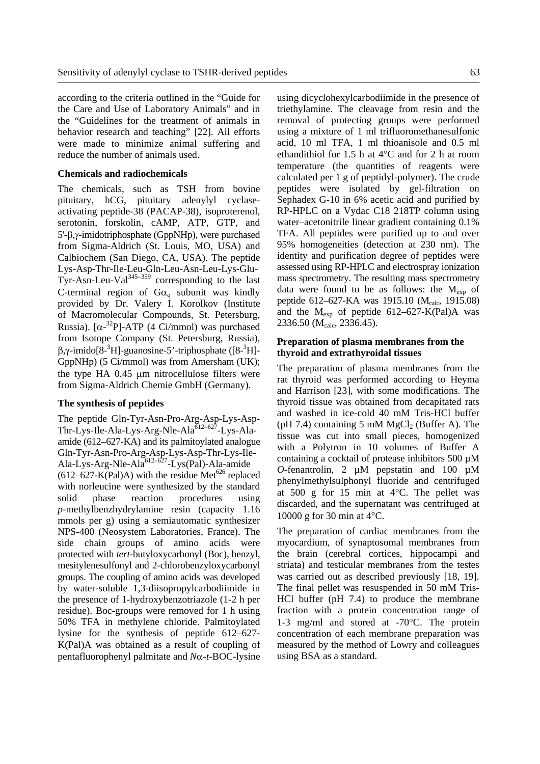according to the criteria outlined in the "Guide for the Care and Use of Laboratory Animals" and in the "Guidelines for the treatment of animals in behavior research and teaching" [22]. All efforts were made to minimize animal suffering and reduce the number of animals used.

#### **Chemicals and radiochemicals**

The chemicals, such as TSH from bovine pituitary, hCG, pituitary adenylyl cyclaseactivating peptide-38 (PACAP-38), isoproterenol, serotonin, forskolin, cAMP, ATP, GTP, and 5'-β,γ-imidotriphosphate (GppNHp), were purchased from Sigma-Aldrich (St. Louis, MO, USA) and Calbiochem (San Diego, CA, USA). The peptide Lys-Asp-Thr-Ile-Leu-Gln-Leu-Asn-Leu-Lys-Glu- $Tyr-Asn-Leu-Val<sup>345-359</sup>$  corresponding to the last C-terminal region of  $Ga_q$  subunit was kindly provided by Dr. Valery I. Korolkov (Institute of Macromolecular Compounds, St. Petersburg, Russia). [ $\alpha$ -<sup>32</sup>P]-ATP (4 Ci/mmol) was purchased from Isotope Company (St. Petersburg, Russia),  $β, γ$ -imido[8-<sup>3</sup>H]-guanosine-5'-triphosphate ([8-<sup>3</sup>H]-GppNHp) (5 Ci/mmol) was from Amersham (UK); the type HA 0.45 µm nitrocellulose filters were from Sigma-Aldrich Chemie GmbH (Germany).

#### **The synthesis of peptides**

The peptide Gln-Tyr-Asn-Pro-Arg-Asp-Lys-Asp-Thr-Lys-Ile-Ala-Lys-Arg-Nle-Ala<sup>612-627</sup>-Lys-Alaamide (612–627-KA) and its palmitoylated analogue Gln-Tyr-Asn-Pro-Arg-Asp-Lys-Asp-Thr-Lys-Ile-Ala-Lys-Arg-Nle-Ala<sup>612–627</sup>-Lys(Pal)-Ala-amide (612–627-K(Pal)A) with the residue Met<sup>626</sup> replaced with norleucine were synthesized by the standard solid phase reaction procedures using *p-*methylbenzhydrylamine resin (capacity 1.16 mmols per g) using a semiautomatic synthesizer NPS-400 (Neosystem Laboratories, France). The side chain groups of amino acids were protected with *tert-*butyloxycarbonyl (Boc), benzyl, mesitylenesulfonyl and 2-chlorobenzyloxycarbonyl groups. The coupling of amino acids was developed by water-soluble 1,3-diisopropylcarbodiimide in the presence of 1-hydroxybenzotriazole (1-2 h per residue). Boc-groups were removed for 1 h using 50% TFA in methylene chloride. Palmitoylated lysine for the synthesis of peptide 612–627- K(Pal)A was obtained as a result of coupling of pentafluorophenyl palmitate and *N*α-*t*-BOC-lysine

using dicyclohexylcarbodiimide in the presence of triethylamine. The cleavage from resin and the removal of protecting groups were performed using a mixture of 1 ml trifluoromethanesulfonic acid, 10 ml TFA, 1 ml thioanisole and 0.5 ml ethandithiol for 1.5 h at 4°C and for 2 h at room temperature (the quantities of reagents were calculated per 1 g of peptidyl-polymer). The crude peptides were isolated by gel-filtration on Sephadex G-10 in 6% acetic acid and purified by RP-HPLC on a Vydac C18 218TP column using water–acetonitrile linear gradient containing 0.1% TFA. All peptides were purified up to and over 95% homogeneities (detection at 230 nm). The identity and purification degree of peptides were assessed using RP-HPLC and electrospray ionization mass spectrometry. The resulting mass spectrometry data were found to be as follows: the  $M_{\rm exp}$  of peptide 612–627-KA was 1915.10 (M<sub>calc</sub>, 1915.08) and the  $M_{\text{exp}}$  of peptide 612–627-K(Pal)A was 2336.50 (M<sub>calc</sub>, 2336.45).

## **Preparation of plasma membranes from the thyroid and extrathyroidal tissues**

The preparation of plasma membranes from the rat thyroid was performed according to Heyma and Harrison [23], with some modifications. The thyroid tissue was obtained from decapitated rats and washed in ice-cold 40 mM Tris-HCl buffer (pH 7.4) containing 5 mM  $MgCl<sub>2</sub>$  (Buffer A). The tissue was cut into small pieces, homogenized with a Polytron in 10 volumes of Buffer A containing a cocktail of protease inhibitors 500 µM *O*-fenantrolin, 2  $\mu$ M pepstatin and 100  $\mu$ M phenylmethylsulphonyl fluoride and centrifuged at 500 g for 15 min at 4°C. The pellet was discarded, and the supernatant was centrifuged at 10000 g for 30 min at 4°C.

The preparation of cardiac membranes from the myocardium, of synaptosomal membranes from the brain (cerebral cortices, hippocampi and striata) and testicular membranes from the testes was carried out as described previously [18, 19]. The final pellet was resuspended in 50 mM Tris-HCl buffer (pH 7.4) to produce the membrane fraction with a protein concentration range of 1-3 mg/ml and stored at -70°C. The protein concentration of each membrane preparation was measured by the method of Lowry and colleagues using BSA as a standard.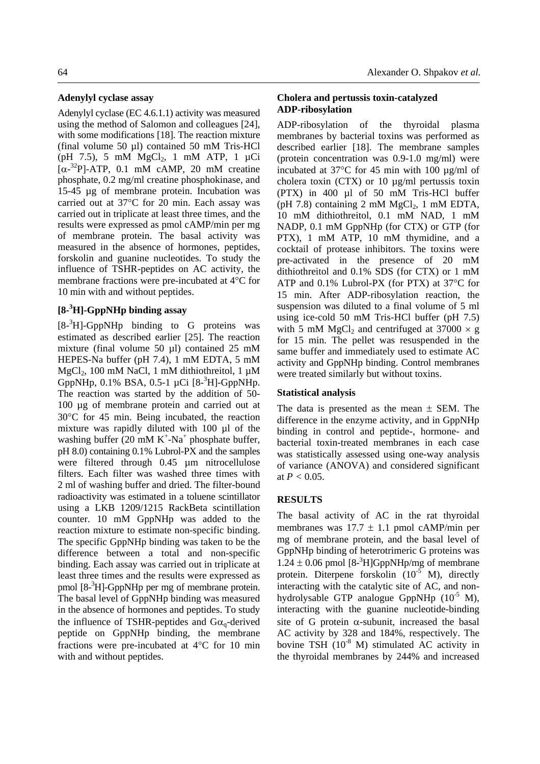#### **Adenylyl cyclase assay**

Adenylyl cyclase (EC 4.6.1.1) activity was measured using the method of Salomon and colleagues [24], with some modifications [18]. The reaction mixture (final volume 50 µl) contained 50 mM Tris-HCl (pH 7.5), 5 mM  $MgCl_2$ , 1 mM ATP, 1 µCi  $[\alpha^{-32}P]$ -ATP, 0.1 mM cAMP, 20 mM creatine phosphate, 0.2 mg/ml creatine phosphokinase, and 15-45 µg of membrane protein. Incubation was carried out at 37°C for 20 min. Each assay was carried out in triplicate at least three times, and the results were expressed as pmol cAMP/min per mg of membrane protein. The basal activity was measured in the absence of hormones, peptides, forskolin and guanine nucleotides. To study the influence of TSHR-peptides on AC activity, the membrane fractions were pre-incubated at 4°C for 10 min with and without peptides.

# **[8-<sup>3</sup> H]-GppNHp binding assay**

 $[8<sup>3</sup>H]$ -GppNHp binding to G proteins was estimated as described earlier [25]. The reaction mixture (final volume 50 µl) contained 25 mM HEPES-Na buffer (pH 7.4), 1 mM EDTA, 5 mM MgCl<sub>2</sub>, 100 mM NaCl, 1 mM dithiothreitol, 1  $\mu$ M GppNHp,  $0.1\%$  BSA,  $0.5-1 \mu$ Ci  $[8-3H]$ -GppNHp. The reaction was started by the addition of 50- 100 µg of membrane protein and carried out at 30°C for 45 min. Being incubated, the reaction mixture was rapidly diluted with 100 µl of the washing buffer  $(20 \text{ mM } K^+$ -Na<sup>+</sup> phosphate buffer, pH 8.0) containing 0.1% Lubrol-PX and the samples were filtered through 0.45 µm nitrocellulose filters. Each filter was washed three times with 2 ml of washing buffer and dried. The filter-bound radioactivity was estimated in a toluene scintillator using a LKB 1209/1215 RackBeta scintillation counter. 10 mM GppNHp was added to the reaction mixture to estimate non-specific binding. The specific GppNHp binding was taken to be the difference between a total and non-specific binding. Each assay was carried out in triplicate at least three times and the results were expressed as pmol [8<sup>3</sup>H]-GppNHp per mg of membrane protein. The basal level of GppNHp binding was measured in the absence of hormones and peptides. To study the influence of TSHR-peptides and  $Ga_{\alpha}$ -derived peptide on GppNHp binding, the membrane fractions were pre-incubated at 4°C for 10 min with and without peptides.

## **Cholera and pertussis toxin-catalyzed ADP-ribosylation**

ADP-ribosylation of the thyroidal plasma membranes by bacterial toxins was performed as described earlier [18]. The membrane samples (protein concentration was 0.9-1.0 mg/ml) were incubated at 37°C for 45 min with 100 µg/ml of cholera toxin (CTX) or 10 µg/ml pertussis toxin (PTX) in 400 µl of 50 mM Tris-HCl buffer (pH 7.8) containing 2 mM  $MgCl<sub>2</sub>$ , 1 mM EDTA, 10 mM dithiothreitol, 0.1 mM NAD, 1 mM NADP, 0.1 mM GppNHp (for CTX) or GTP (for PTX), 1 mM ATP, 10 mM thymidine, and a cocktail of protease inhibitors. The toxins were pre-activated in the presence of 20 mM dithiothreitol and 0.1% SDS (for CTX) or 1 mM ATP and 0.1% Lubrol-PX (for PTX) at 37°C for 15 min. After ADP-ribosylation reaction, the suspension was diluted to a final volume of 5 ml using ice-cold 50 mM Tris-HCl buffer (pH 7.5) with 5 mM MgCl<sub>2</sub> and centrifuged at  $37000 \times g$ for 15 min. The pellet was resuspended in the same buffer and immediately used to estimate AC activity and GppNHp binding. Control membranes were treated similarly but without toxins.

#### **Statistical analysis**

The data is presented as the mean  $\pm$  SEM. The difference in the enzyme activity, and in GppNHp binding in control and peptide-, hormone- and bacterial toxin-treated membranes in each case was statistically assessed using one-way analysis of variance (ANOVA) and considered significant at  $P < 0.05$ .

## **RESULTS**

The basal activity of AC in the rat thyroidal membranes was  $17.7 \pm 1.1$  pmol cAMP/min per mg of membrane protein, and the basal level of GppNHp binding of heterotrimeric G proteins was  $1.24 \pm 0.06$  pmol  $[8<sup>3</sup>H]GppNHp/mg$  of membrane protein. Diterpene forskolin  $(10^{-5}$  M), directly interacting with the catalytic site of AC, and nonhydrolysable GTP analogue GppNHp  $(10^{-5}$  M), interacting with the guanine nucleotide-binding site of G protein  $\alpha$ -subunit, increased the basal AC activity by 328 and 184%, respectively. The bovine TSH  $(10^{-8}$  M) stimulated AC activity in the thyroidal membranes by 244% and increased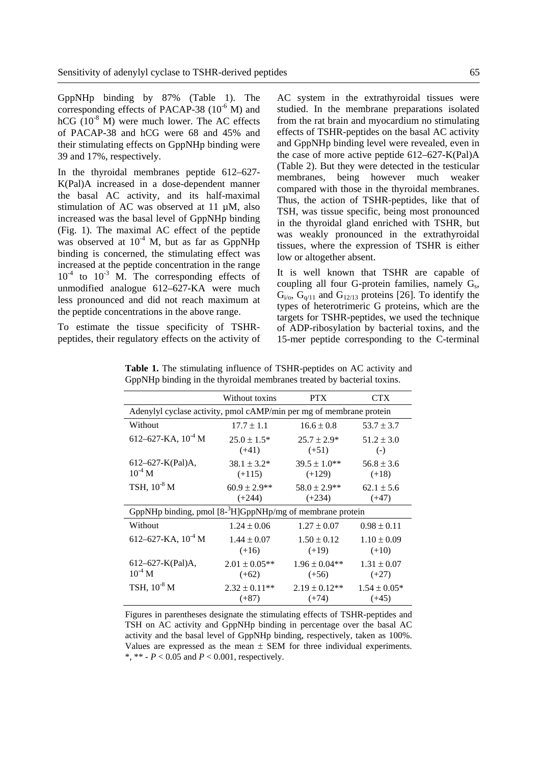GppNHp binding by 87% (Table 1). The corresponding effects of PACAP-38  $(10^{-6}$  M) and hCG  $(10^{-8}$  M) were much lower. The AC effects of PACAP-38 and hCG were 68 and 45% and their stimulating effects on GppNHp binding were 39 and 17%, respectively.

In the thyroidal membranes peptide 612–627- K(Pal)A increased in a dose-dependent manner the basal AC activity, and its half-maximal stimulation of AC was observed at 11  $\mu$ M, also increased was the basal level of GppNHp binding (Fig. 1). The maximal AC effect of the peptide was observed at  $10^{-4}$  M, but as far as GppNHp binding is concerned, the stimulating effect was increased at the peptide concentration in the range  $10^{-4}$  to  $10^{-3}$  M. The corresponding effects of unmodified analogue 612–627-KA were much less pronounced and did not reach maximum at the peptide concentrations in the above range.

To estimate the tissue specificity of TSHRpeptides, their regulatory effects on the activity of AC system in the extrathyroidal tissues were studied. In the membrane preparations isolated from the rat brain and myocardium no stimulating effects of TSHR-peptides on the basal AC activity and GppNHp binding level were revealed, even in the case of more active peptide 612–627-K(Pal)A (Table 2). But they were detected in the testicular membranes, being however much weaker compared with those in the thyroidal membranes. Thus, the action of TSHR-peptides, like that of TSH, was tissue specific, being most pronounced in the thyroidal gland enriched with TSHR, but was weakly pronounced in the extrathyroidal tissues, where the expression of TSHR is either low or altogether absent.

It is well known that TSHR are capable of coupling all four G-protein families, namely  $G_s$ ,  $G_{i/2}$ ,  $G_{q/11}$  and  $G_{12/13}$  proteins [26]. To identify the types of heterotrimeric G proteins, which are the targets for TSHR-peptides, we used the technique of ADP-ribosylation by bacterial toxins, and the 15-mer peptide corresponding to the C-terminal

|                                                                     | Without toxins     | <b>PTX</b>        | <b>CTX</b>       |  |
|---------------------------------------------------------------------|--------------------|-------------------|------------------|--|
| Adenylyl cyclase activity, pmol cAMP/min per mg of membrane protein |                    |                   |                  |  |
| Without                                                             | $17.7 \pm 1.1$     | $16.6 \pm 0.8$    | $53.7 \pm 3.7$   |  |
| 612–627-KA, $10^{-4}$ M                                             | $25.0 \pm 1.5*$    | $25.7 \pm 2.9*$   | $51.2 \pm 3.0$   |  |
|                                                                     | $(+41)$            | $(+51)$           | $(-)$            |  |
| $612 - 627 - K(Pal)A,$                                              | $38.1 \pm 3.2^*$   | $39.5 \pm 1.0**$  | $56.8 \pm 3.6$   |  |
| $10^{-4}$ M                                                         | $(+115)$           | $(+129)$          | $(+18)$          |  |
| TSH, $10^{-8}$ M                                                    | $60.9 \pm 2.9$ **  | $58.0 \pm 2.9$ ** | $62.1 \pm 5.6$   |  |
|                                                                     | $(+244)$           | $(+234)$          | $(+47)$          |  |
| GppNHp binding, pmol $[8-3H]GppNHp/mg$ of membrane protein          |                    |                   |                  |  |
| Without                                                             | $1.24 \pm 0.06$    | $1.27 \pm 0.07$   | $0.98 \pm 0.11$  |  |
| 612–627-KA, $10^{-4}$ M                                             | $1.44 \pm 0.07$    | $1.50 \pm 0.12$   | $1.10 \pm 0.09$  |  |
|                                                                     | $(+16)$            | $(+19)$           | $(+10)$          |  |
| $612 - 627 - K(Pal)$ A,                                             | $2.01 \pm 0.05$ ** | $1.96 \pm 0.04**$ | $1.31 \pm 0.07$  |  |
| $10^{-4}$ M                                                         | $(+62)$            | $(+56)$           | $(+27)$          |  |
| TSH, $10^{-8}$ M                                                    | $2.32 \pm 0.11**$  | $2.19 \pm 0.12**$ | $1.54 \pm 0.05*$ |  |
|                                                                     | $(+87)$            | $(+74)$           | $(+45)$          |  |

**Table 1.** The stimulating influence of TSHR-peptides on AC activity and GppNHp binding in the thyroidal membranes treated by bacterial toxins.

Figures in parentheses designate the stimulating effects of TSHR-peptides and TSH on AC activity and GppNHp binding in percentage over the basal AC activity and the basal level of GppNHp binding, respectively, taken as 100%. Values are expressed as the mean  $\pm$  SEM for three individual experiments. \*, \*\*  $-P < 0.05$  and  $P < 0.001$ , respectively.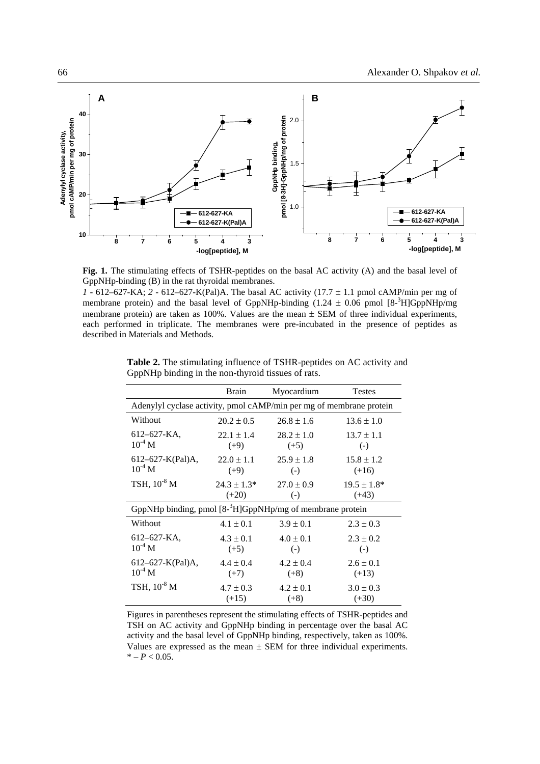

Fig. 1. The stimulating effects of TSHR-peptides on the basal AC activity (A) and the basal level of GppNHp-binding (B) in the rat thyroidal membranes.

*1* - 612–627-KA; *2* - 612–627-K(Pal)A. The basal AC activity (17.7 ± 1.1 pmol cAMP/min per mg of membrane protein) and the basal level of GppNHp-binding  $(1.24 \pm 0.06 \text{ pmol}$  [8-<sup>3</sup>H]GppNHp/mg membrane protein) are taken as 100%. Values are the mean  $\pm$  SEM of three individual experiments, each performed in triplicate. The membranes were pre-incubated in the presence of peptides as described in Materials and Methods.

|                                                                       | <b>Brain</b>     | Myocardium        | <b>Testes</b>     |  |
|-----------------------------------------------------------------------|------------------|-------------------|-------------------|--|
| Adenylyl cyclase activity, pmol cAMP/min per mg of membrane protein   |                  |                   |                   |  |
| Without                                                               | $20.2 \pm 0.5$   | $26.8 \pm 1.6$    | $13.6 \pm 1.0$    |  |
| $612 - 627 - KA$                                                      | $22.1 \pm 1.4$   | $28.2 \pm 1.0$    | $13.7 \pm 1.1$    |  |
| $10^{-4}$ M                                                           | $(+9)$           | $(+5)$            | $\left( -\right)$ |  |
| $612 - 627 - K(Pal)$ A,                                               | $22.0 \pm 1.1$   | $25.9 \pm 1.8$    | $15.8 \pm 1.2$    |  |
| $10^{-4}$ M                                                           | $(+9)$           | $(-)$             | $(+16)$           |  |
| TSH, 10 <sup>-8</sup> M                                               | $24.3 \pm 1.3^*$ | $27.0 \pm 0.9$    | $19.5 \pm 1.8^*$  |  |
|                                                                       | $(+20)$          | $(-)$             | $(+43)$           |  |
| GppNHp binding, pmol [8- <sup>3</sup> H]GppNHp/mg of membrane protein |                  |                   |                   |  |
| Without                                                               | $4.1 \pm 0.1$    | $3.9 \pm 0.1$     | $2.3 \pm 0.3$     |  |
| $612 - 627 - KA$                                                      | $4.3 \pm 0.1$    | $4.0 \pm 0.1$     | $2.3 \pm 0.2$     |  |
| $10^{-4}$ M                                                           | $(+5)$           | $\left( -\right)$ | $(-)$             |  |
| $612 - 627 - K(Pal)A,$                                                | $4.4 \pm 0.4$    | $4.2 \pm 0.4$     | $2.6 \pm 0.1$     |  |
| $10^{-4}$ M                                                           | $(+7)$           | $(+8)$            | $(+13)$           |  |
| TSH, $10^{-8}$ M                                                      | $4.7 \pm 0.3$    | $4.2 \pm 0.1$     | $3.0 \pm 0.3$     |  |
|                                                                       | $(+15)$          | $(+8)$            | $(+30)$           |  |

**Table 2.** The stimulating influence of TSHR-peptides on AC activity and GppNHp binding in the non-thyroid tissues of rats.

Figures in parentheses represent the stimulating effects of TSHR-peptides and TSH on AC activity and GppNHp binding in percentage over the basal AC activity and the basal level of GppNHp binding, respectively, taken as 100%. Values are expressed as the mean  $\pm$  SEM for three individual experiments.  $* - P < 0.05$ .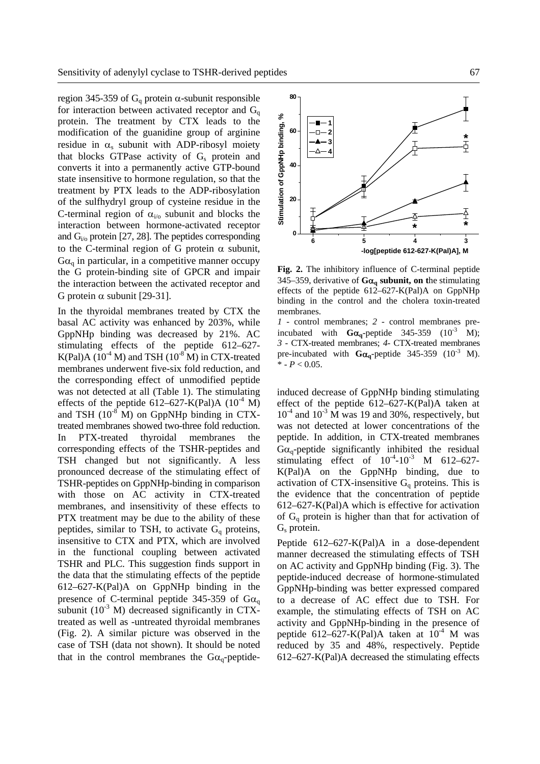region 345-359 of  $G_q$  protein α-subunit responsible for interaction between activated receptor and  $G_q$ protein. The treatment by CTX leads to the modification of the guanidine group of arginine residue in  $\alpha_s$  subunit with ADP-ribosyl moiety that blocks GTPase activity of  $G_s$  protein and converts it into a permanently active GTP-bound state insensitive to hormone regulation, so that the treatment by PTX leads to the ADP-ribosylation of the sulfhydryl group of cysteine residue in the C-terminal region of  $\alpha_{i/0}$  subunit and blocks the interaction between hormone-activated receptor and  $G_i$ <sub>i</sub> protein [27, 28]. The peptides corresponding to the C-terminal region of G protein  $\alpha$  subunit,  $G\alpha$ <sub>a</sub> in particular, in a competitive manner occupy the G protein-binding site of GPCR and impair the interaction between the activated receptor and G protein  $\alpha$  subunit [29-31].

In the thyroidal membranes treated by CTX the basal AC activity was enhanced by 203%, while GppNHp binding was decreased by 21%. AC stimulating effects of the peptide 612–627- K(Pal)A  $(10^{-4}$  M) and TSH  $(10^{-8}$  M) in CTX-treated membranes underwent five-six fold reduction, and the corresponding effect of unmodified peptide was not detected at all (Table 1). The stimulating effects of the peptide 612–627-K(Pal)A  $(10^{-4}$  M) and TSH  $(10^{-8} \text{ M})$  on GppNHp binding in CTXtreated membranes showed two-three fold reduction. In PTX-treated thyroidal membranes the corresponding effects of the TSHR-peptides and TSH changed but not significantly. A less pronounced decrease of the stimulating effect of TSHR-peptides on GppNHp-binding in comparison with those on AC activity in CTX-treated membranes, and insensitivity of these effects to PTX treatment may be due to the ability of these peptides, similar to TSH, to activate  $G_q$  proteins, insensitive to CTX and PTX, which are involved in the functional coupling between activated TSHR and PLC. This suggestion finds support in the data that the stimulating effects of the peptide 612–627-K(Pal)A on GppNHp binding in the presence of C-terminal peptide 345-359 of  $Ga<sub>q</sub>$ subunit  $(10^{-3}$  M) decreased significantly in CTXtreated as well as -untreated thyroidal membranes (Fig. 2). A similar picture was observed in the case of TSH (data not shown). It should be noted that in the control membranes the  $Ga_{q}$ -peptide-



**Fig. 2.** The inhibitory influence of C-terminal peptide 345–359, derivative of **G**α**q subunit, on t**he stimulating effects of the peptide 612–627-K(Pal)A on GppNHp binding in the control and the cholera toxin-treated membranes.

*1* - control membranes; *2* - control membranes preincubated with  $Ga_0$ -peptide 345-359 (10<sup>-3</sup> M); *3* - CTX-treated membranes; *4*- CTX-treated membranes pre-incubated with  $Ga_0$ -peptide 345-359 (10<sup>-3</sup> M).  $*$  -  $P < 0.05$ .

induced decrease of GppNHp binding stimulating effect of the peptide 612–627-K(Pal)A taken at  $10^{-4}$  and  $10^{-3}$  M was 19 and 30%, respectively, but was not detected at lower concentrations of the peptide. In addition, in CTX-treated membranes  $G\alpha_q$ -peptide significantly inhibited the residual stimulating effect of  $10^{-4} - 10^{-3}$  M 612–627-K(Pal)A on the GppNHp binding, due to activation of CTX-insensitive  $G_q$  proteins. This is the evidence that the concentration of peptide 612–627-K(Pal)A which is effective for activation of  $G_q$  protein is higher than that for activation of  $G_s$  protein.

Peptide 612–627-K(Pal)A in a dose-dependent manner decreased the stimulating effects of TSH on AC activity and GppNHp binding (Fig. 3). The peptide-induced decrease of hormone-stimulated GppNHp-binding was better expressed compared to a decrease of AC effect due to TSH. For example, the stimulating effects of TSH on AC activity and GppNHp-binding in the presence of peptide 612–627-K(Pal)A taken at  $10<sup>-4</sup>$  M was reduced by 35 and 48%, respectively. Peptide 612–627-K(Pal)A decreased the stimulating effects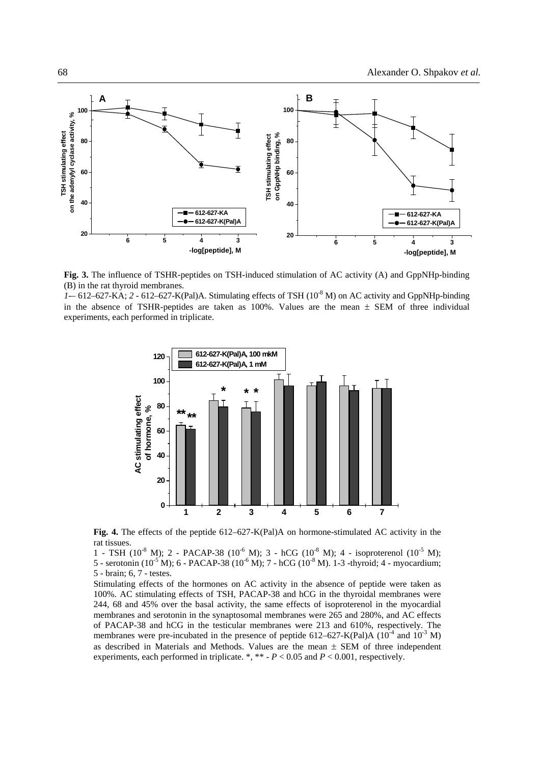

**Fig. 3.** The influence of TSHR-peptides on TSH-induced stimulation of AC activity (A) and GppNHp-binding (B) in the rat thyroid membranes.

*1-*– 612–627-KA; *2* - 612–627-K(Pal)A. Stimulating effects of TSH (10-8 M) on AC activity and GppNHp-binding in the absence of TSHR-peptides are taken as  $100\%$ . Values are the mean  $\pm$  SEM of three individual experiments, each performed in triplicate.



**Fig. 4.** The effects of the peptide 612–627-K(Pal)A on hormone-stimulated AC activity in the rat tissues.

1 - TSH ( $10^{-8}$  M); 2 - PACAP-38 ( $10^{-6}$  M); 3 - hCG ( $10^{-8}$  M); 4 - isoproterenol ( $10^{-5}$  M); 5 - serotonin (10<sup>-5</sup> M); 6 - PACAP-38 (10<sup>-6</sup> M); 7 - hCG (10<sup>-8</sup> M). 1-3 -thyroid; 4 - myocardium; 5 - brain; 6, 7 - testes.

Stimulating effects of the hormones on AC activity in the absence of peptide were taken as 100%. AC stimulating effects of TSH, PACAP-38 and hCG in the thyroidal membranes were 244, 68 and 45% over the basal activity, the same effects of isoproterenol in the myocardial membranes and serotonin in the synaptosomal membranes were 265 and 280%, and AC effects of PACAP-38 and hCG in the testicular membranes were 213 and 610%, respectively. The membranes were pre-incubated in the presence of peptide 612–627-K(Pal)A ( $10^{-4}$  and  $10^{-3}$  M) as described in Materials and Methods. Values are the mean  $\pm$  SEM of three independent experiments, each performed in triplicate. \*, \*\* - *P* < 0.05 and *P* < 0.001, respectively.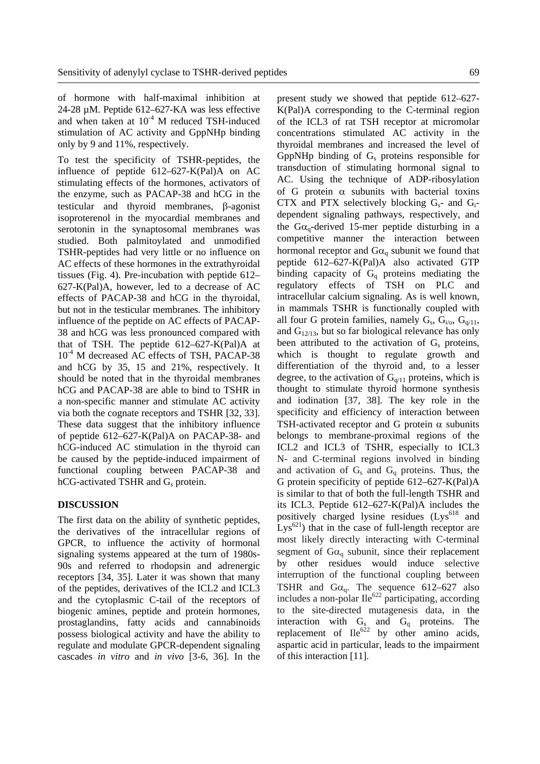of hormone with half-maximal inhibition at 24-28 µM. Peptide 612–627-KA was less effective and when taken at  $10^{-4}$  M reduced TSH-induced stimulation of AC activity and GppNHp binding only by 9 and 11%, respectively.

To test the specificity of TSHR-peptides, the influence of peptide 612–627-K(Pal)A on AC stimulating effects of the hormones, activators of the enzyme, such as PACAP-38 and hCG in the testicular and thyroid membranes, β-agonist isoproterenol in the myocardial membranes and serotonin in the synaptosomal membranes was studied. Both palmitoylated and unmodified TSHR-peptides had very little or no influence on AC effects of these hormones in the extrathyroidal tissues (Fig. 4). Pre-incubation with peptide 612– 627-K(Pal)A, however, led to a decrease of AC effects of PACAP-38 and hCG in the thyroidal, but not in the testicular membranes. The inhibitory influence of the peptide on AC effects of PACAP-38 and hCG was less pronounced compared with that of TSH. The peptide  $612-627-K(Pal)$ A at 10<sup>-4</sup> M decreased AC effects of TSH, PACAP-38 and hCG by 35, 15 and 21%, respectively. It should be noted that in the thyroidal membranes hCG and PACAP-38 are able to bind to TSHR in a non-specific manner and stimulate AC activity via both the cognate receptors and TSHR [32, 33]. These data suggest that the inhibitory influence of peptide 612–627-K(Pal)A on PACAP-38- and hCG-induced AC stimulation in the thyroid can be caused by the peptide-induced impairment of functional coupling between PACAP-38 and  $hCG$ -activated TSHR and  $G_s$  protein.

#### **DISCUSSION**

The first data on the ability of synthetic peptides, the derivatives of the intracellular regions of GPCR, to influence the activity of hormonal signaling systems appeared at the turn of 1980s-90s and referred to rhodopsin and adrenergic receptors [34, 35]. Later it was shown that many of the peptides, derivatives of the ICL2 and ICL3 and the cytoplasmic C-tail of the receptors of biogenic amines, peptide and protein hormones, prostaglandins, fatty acids and cannabinoids possess biological activity and have the ability to regulate and modulate GPCR-dependent signaling cascades *in vitro* and *in vivo* [3-6, 36]. In the present study we showed that peptide 612–627- K(Pal)A corresponding to the C-terminal region of the ICL3 of rat TSH receptor at micromolar concentrations stimulated AC activity in the thyroidal membranes and increased the level of GppNHp binding of  $G_s$  proteins responsible for transduction of stimulating hormonal signal to AC. Using the technique of ADP-ribosylation of G protein  $\alpha$  subunits with bacterial toxins CTX and PTX selectively blocking  $G_s$ - and  $G_i$ dependent signaling pathways, respectively, and the  $Ga_{q}$ -derived 15-mer peptide disturbing in a competitive manner the interaction between hormonal receptor and  $Ga_{q}$  subunit we found that peptide 612–627-K(Pal)A also activated GTP binding capacity of  $G_q$  proteins mediating the regulatory effects of TSH on PLC and intracellular calcium signaling. As is well known, in mammals TSHR is functionally coupled with all four G protein families, namely  $G_s$ ,  $G_{i/0}$ ,  $G_{q/11}$ , and  $G_{12/13}$ , but so far biological relevance has only been attributed to the activation of  $G_s$  proteins, which is thought to regulate growth and differentiation of the thyroid and, to a lesser degree, to the activation of  $G<sub>q/11</sub>$  proteins, which is thought to stimulate thyroid hormone synthesis and iodination [37, 38]. The key role in the specificity and efficiency of interaction between TSH-activated receptor and G protein  $\alpha$  subunits belongs to membrane-proximal regions of the ICL2 and ICL3 of TSHR, especially to ICL3 N- and C-terminal regions involved in binding and activation of  $G_s$  and  $G_q$  proteins. Thus, the G protein specificity of peptide 612–627-K(Pal)A is similar to that of both the full-length TSHR and its ICL3. Peptide 612–627-K(Pal)A includes the positively charged lysine residues (Lys<sup>618</sup> and  $Lys^{621}$ ) that in the case of full-length receptor are most likely directly interacting with C-terminal segment of  $G\alpha_{q}$  subunit, since their replacement by other residues would induce selective interruption of the functional coupling between TSHR and  $Ga_q$ . The sequence 612–627 also includes a non-polar  $\text{Ile}^{622}$  participating, according to the site-directed mutagenesis data, in the interaction with  $G_s$  and  $G_q$  proteins. The replacement of  $Ile^{622}$  by other amino acids, aspartic acid in particular, leads to the impairment of this interaction [11].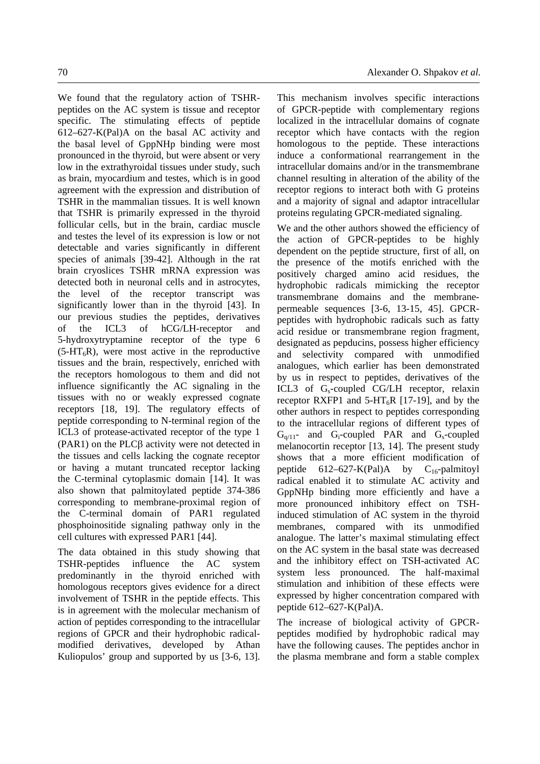We found that the regulatory action of TSHRpeptides on the AC system is tissue and receptor specific. The stimulating effects of peptide 612–627-K(Pal)A on the basal AC activity and the basal level of GppNHp binding were most pronounced in the thyroid, but were absent or very low in the extrathyroidal tissues under study, such as brain, myocardium and testes, which is in good agreement with the expression and distribution of TSHR in the mammalian tissues. It is well known that TSHR is primarily expressed in the thyroid follicular cells, but in the brain, cardiac muscle and testes the level of its expression is low or not detectable and varies significantly in different species of animals [39-42]. Although in the rat brain cryoslices TSHR mRNA expression was detected both in neuronal cells and in astrocytes, the level of the receptor transcript was significantly lower than in the thyroid [43]. In our previous studies the peptides, derivatives of the ICL3 of hCG/LH-receptor and 5-hydroxytryptamine receptor of the type 6  $(5-HT_6R)$ , were most active in the reproductive tissues and the brain, respectively, enriched with the receptors homologous to them and did not influence significantly the AC signaling in the tissues with no or weakly expressed cognate receptors [18, 19]. The regulatory effects of peptide corresponding to N-terminal region of the ICL3 of protease-activated receptor of the type 1 (PAR1) on the PLCβ activity were not detected in the tissues and cells lacking the cognate receptor or having a mutant truncated receptor lacking the C-terminal cytoplasmic domain [14]. It was also shown that palmitoylated peptide 374-386 corresponding to membrane-proximal region of the C-terminal domain of PAR1 regulated phosphoinositide signaling pathway only in the cell cultures with expressed PAR1 [44].

The data obtained in this study showing that TSHR-peptides influence the AC system predominantly in the thyroid enriched with homologous receptors gives evidence for a direct involvement of TSHR in the peptide effects. This is in agreement with the molecular mechanism of action of peptides corresponding to the intracellular regions of GPCR and their hydrophobic radicalmodified derivatives, developed by Athan Kuliopulos' group and supported by us [3-6, 13]. This mechanism involves specific interactions of GPCR-peptide with complementary regions localized in the intracellular domains of cognate receptor which have contacts with the region homologous to the peptide. These interactions induce a conformational rearrangement in the intracellular domains and/or in the transmembrane channel resulting in alteration of the ability of the receptor regions to interact both with G proteins and a majority of signal and adaptor intracellular proteins regulating GPCR-mediated signaling.

We and the other authors showed the efficiency of the action of GPCR-peptides to be highly dependent on the peptide structure, first of all, on the presence of the motifs enriched with the positively charged amino acid residues, the hydrophobic radicals mimicking the receptor transmembrane domains and the membranepermeable sequences [3-6, 13-15, 45]. GPCRpeptides with hydrophobic radicals such as fatty acid residue or transmembrane region fragment, designated as pepducins, possess higher efficiency and selectivity compared with unmodified analogues, which earlier has been demonstrated by us in respect to peptides, derivatives of the ICL3 of  $G_s$ -coupled CG/LH receptor, relaxin receptor RXFP1 and  $5-HT_6R$  [17-19], and by the other authors in respect to peptides corresponding to the intracellular regions of different types of  $G_{q/11}$ - and  $G_i$ -coupled PAR and  $G_s$ -coupled melanocortin receptor [13, 14]. The present study shows that a more efficient modification of peptide  $612-627-K(Pal)$ A by  $C_{16}$ -palmitoyl radical enabled it to stimulate AC activity and GppNHp binding more efficiently and have a more pronounced inhibitory effect on TSHinduced stimulation of AC system in the thyroid membranes, compared with its unmodified analogue. The latter's maximal stimulating effect on the AC system in the basal state was decreased and the inhibitory effect on TSH-activated AC system less pronounced. The half-maximal stimulation and inhibition of these effects were expressed by higher concentration compared with peptide 612–627-K(Pal)A.

The increase of biological activity of GPCRpeptides modified by hydrophobic radical may have the following causes. The peptides anchor in the plasma membrane and form a stable complex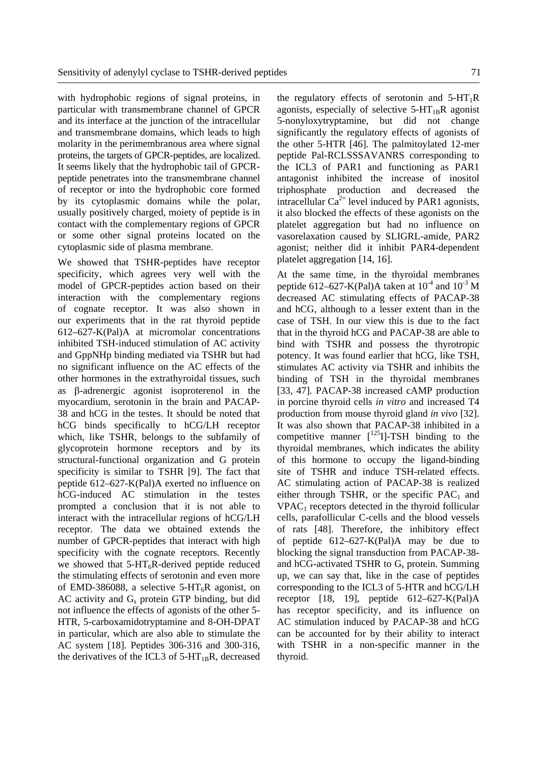with hydrophobic regions of signal proteins, in particular with transmembrane channel of GPCR and its interface at the junction of the intracellular and transmembrane domains, which leads to high molarity in the perimembranous area where signal proteins, the targets of GPCR-peptides, are localized. It seems likely that the hydrophobic tail of GPCRpeptide penetrates into the transmembrane channel of receptor or into the hydrophobic core formed by its cytoplasmic domains while the polar, usually positively charged, moiety of peptide is in contact with the complementary regions of GPCR or some other signal proteins located on the cytoplasmic side of plasma membrane.

We showed that TSHR-peptides have receptor specificity, which agrees very well with the model of GPCR-peptides action based on their interaction with the complementary regions of cognate receptor. It was also shown in our experiments that in the rat thyroid peptide 612–627-K(Pal)A at micromolar concentrations inhibited TSH-induced stimulation of AC activity and GppNHp binding mediated via TSHR but had no significant influence on the AC effects of the other hormones in the extrathyroidal tissues, such as β-adrenergic agonist isoproterenol in the myocardium, serotonin in the brain and PACAP-38 and hCG in the testes. It should be noted that hCG binds specifically to hCG/LH receptor which, like TSHR, belongs to the subfamily of glycoprotein hormone receptors and by its structural-functional organization and G protein specificity is similar to TSHR [9]. The fact that peptide 612–627-K(Pal)A exerted no influence on hCG-induced AC stimulation in the testes prompted a conclusion that it is not able to interact with the intracellular regions of hCG/LH receptor. The data we obtained extends the number of GPCR-peptides that interact with high specificity with the cognate receptors. Recently we showed that  $5-HT_6R$ -derived peptide reduced the stimulating effects of serotonin and even more of EMD-386088, a selective 5-HT<sub>6</sub>R agonist, on AC activity and  $G_s$  protein GTP binding, but did not influence the effects of agonists of the other 5- HTR, 5-carboxamidotryptamine and 8-OH-DPAT in particular, which are also able to stimulate the AC system [18]. Peptides 306-316 and 300-316, the derivatives of the ICL3 of  $5-HT_{1B}R$ , decreased the regulatory effects of serotonin and  $5-HT_1R$ agonists, especially of selective  $5-HT_{1B}R$  agonist 5-nonyloxytryptamine, but did not change significantly the regulatory effects of agonists of the other 5-HTR [46]. The palmitoylated 12-mer peptide Pal-RCLSSSAVANRS corresponding to the ICL3 of PAR1 and functioning as PAR1 antagonist inhibited the increase of inositol triphosphate production and decreased the intracellular  $Ca^{2+}$  level induced by PAR1 agonists, it also blocked the effects of these agonists on the platelet aggregation but had no influence on vasorelaxation caused by SLIGRL-amide, PAR2 agonist; neither did it inhibit PAR4-dependent platelet aggregation [14, 16].

At the same time, in the thyroidal membranes peptide 612–627-K(Pal)A taken at  $10^{-4}$  and  $10^{-3}$  M decreased AC stimulating effects of PACAP-38 and hCG, although to a lesser extent than in the case of TSH. In our view this is due to the fact that in the thyroid hCG and PACAP-38 are able to bind with TSHR and possess the thyrotropic potency. It was found earlier that hCG, like TSH, stimulates AC activity via TSHR and inhibits the binding of TSH in the thyroidal membranes [33, 47]. PACAP-38 increased cAMP production in porcine thyroid cells *in vitro* and increased T4 production from mouse thyroid gland *in vivo* [32]. It was also shown that PACAP-38 inhibited in a competitive manner  $[$ <sup>125</sup>I]-TSH binding to the thyroidal membranes, which indicates the ability of this hormone to occupy the ligand-binding site of TSHR and induce TSH-related effects. AC stimulating action of PACAP-38 is realized either through TSHR, or the specific  $PAC<sub>1</sub>$  and  $VPAC<sub>1</sub>$  receptors detected in the thyroid follicular cells, parafollicular C-cells and the blood vessels of rats [48]. Therefore, the inhibitory effect of peptide 612–627-K(Pal)A may be due to blocking the signal transduction from PACAP-38 and hCG-activated TSHR to  $G_s$  protein. Summing up, we can say that, like in the case of peptides corresponding to the ICL3 of 5-HTR and hCG/LH receptor [18, 19], peptide 612–627-K(Pal)A has receptor specificity, and its influence on AC stimulation induced by PACAP-38 and hCG can be accounted for by their ability to interact with TSHR in a non-specific manner in the thyroid.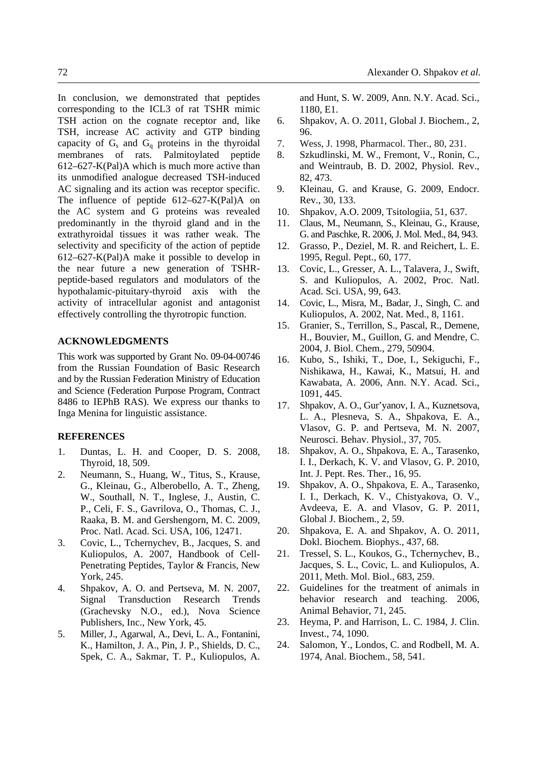In conclusion, we demonstrated that peptides corresponding to the ICL3 of rat TSHR mimic TSH action on the cognate receptor and, like TSH, increase AC activity and GTP binding capacity of  $G_s$  and  $G_q$  proteins in the thyroidal membranes of rats. Palmitoylated peptide 612–627-K(Pal)A which is much more active than its unmodified analogue decreased TSH-induced AC signaling and its action was receptor specific. The influence of peptide 612–627-K(Pal)A on the AC system and G proteins was revealed predominantly in the thyroid gland and in the extrathyroidal tissues it was rather weak. The selectivity and specificity of the action of peptide 612–627-K(Pal)A make it possible to develop in the near future a new generation of TSHRpeptide-based regulators and modulators of the hypothalamic-pituitary-thyroid axis with the activity of intracellular agonist and antagonist effectively controlling the thyrotropic function.

#### **ACKNOWLEDGMENTS**

This work was supported by Grant No. 09-04-00746 from the Russian Foundation of Basic Research and by the Russian Federation Ministry of Education and Science (Federation Purpose Program, Contract 8486 to IEPhB RAS). We express our thanks to Inga Menina for linguistic assistance.

## **REFERENCES**

- 1. Duntas, L. H. and Cooper, D. S. 2008, Thyroid, 18, 509.
- 2. Neumann, S., Huang, W., Titus, S., Krause, G., Kleinau, G., Alberobello, A. T., Zheng, W., Southall, N. T., Inglese, J., Austin, C. P., Celi, F. S., Gavrilova, O., Thomas, C. J., Raaka, B. M. and Gershengorn, M. C. 2009, Proc. Natl. Acad. Sci. USA, 106, 12471.
- 3. Covic, L., Tchernychev, B., Jacques, S. and Kuliopulos, A. 2007, Handbook of Cell-Penetrating Peptides, Taylor & Francis, New York, 245.
- 4. Shpakov, A. O. and Pertseva, M. N. 2007, Signal Transduction Research Trends (Grachevsky N.O., ed.), Nova Science Publishers, Inc., New York, 45.
- 5. Miller, J., Agarwal, A., Devi, L. A., Fontanini, K., Hamilton, J. A., Pin, J. P., Shields, D. C., Spek, C. A., Sakmar, T. P., Kuliopulos, A.

 and Hunt, S. W. 2009, Ann. N.Y. Acad. Sci., 1180, E1.

- 6. Shpakov, A. O. 2011, Global J. Biochem., 2, 96.
- 7. Wess, J. 1998, Pharmacol. Ther., 80, 231.
- 8. Szkudlinski, M. W., Fremont, V., Ronin, C., and Weintraub, B. D. 2002, Physiol. Rev., 82, 473.
- 9. Kleinau, G. and Krause, G. 2009, Endocr. Rev., 30, 133.
- 10. Shpakov, A.O. 2009, Tsitologiia, 51, 637.
- 11. Claus, M., Neumann, S., Kleinau, G., Krause, G. and Paschke, R. 2006, J. Mol. Med., 84, 943.
- 12. Grasso, P., Deziel, M. R. and Reichert, L. E. 1995, Regul. Pept., 60, 177.
- 13. Covic, L., Gresser, A. L., Talavera, J., Swift, S. and Kuliopulos, A. 2002, Proc. Natl. Acad. Sci. USA, 99, 643.
- 14. Covic, L., Misra, M., Badar, J., Singh, C. and Kuliopulos, A. 2002, Nat. Med., 8, 1161.
- 15. Granier, S., Terrillon, S., Pascal, R., Demene, H., Bouvier, M., Guillon, G. and Mendre, C. 2004, J. Biol. Chem., 279, 50904.
- 16. Kubo, S., Ishiki, T., Doe, I., Sekiguchi, F., Nishikawa, H., Kawai, K., Matsui, H. and Kawabata, A. 2006, Ann. N.Y. Acad. Sci., 1091, 445.
- 17. Shpakov, A. O., Gur'yanov, I. A., Kuznetsova, L. A., Plesneva, S. A., Shpakova, E. A., Vlasov, G. P. and Pertseva, M. N. 2007, Neurosci. Behav. Physiol., 37, 705.
- 18. Shpakov, A. O., Shpakova, E. A., Tarasenko, I. I., Derkach, K. V. and Vlasov, G. P. 2010, Int. J. Pept. Res. Ther., 16, 95.
- 19. Shpakov, A. O., Shpakova, E. A., Tarasenko, I. I., Derkach, K. V., Chistyakova, O. V., Avdeeva, E. A. and Vlasov, G. P. 2011, Global J. Biochem., 2, 59.
- 20. Shpakova, E. A. and Shpakov, A. O. 2011, Dokl. Biochem. Biophys., 437, 68.
- 21. Tressel, S. L., Koukos, G., Tchernychev, B., Jacques, S. L., Covic, L. and Kuliopulos, A. 2011, Meth. Mol. Biol., 683, 259.
- 22. Guidelines for the treatment of animals in behavior research and teaching. 2006, Animal Behavior, 71, 245.
- 23. Heyma, P. and Harrison, L. C. 1984, J. Clin. Invest., 74, 1090.
- 24. Salomon, Y., Londos, C. and Rodbell, M. A. 1974, Anal. Biochem., 58, 541.